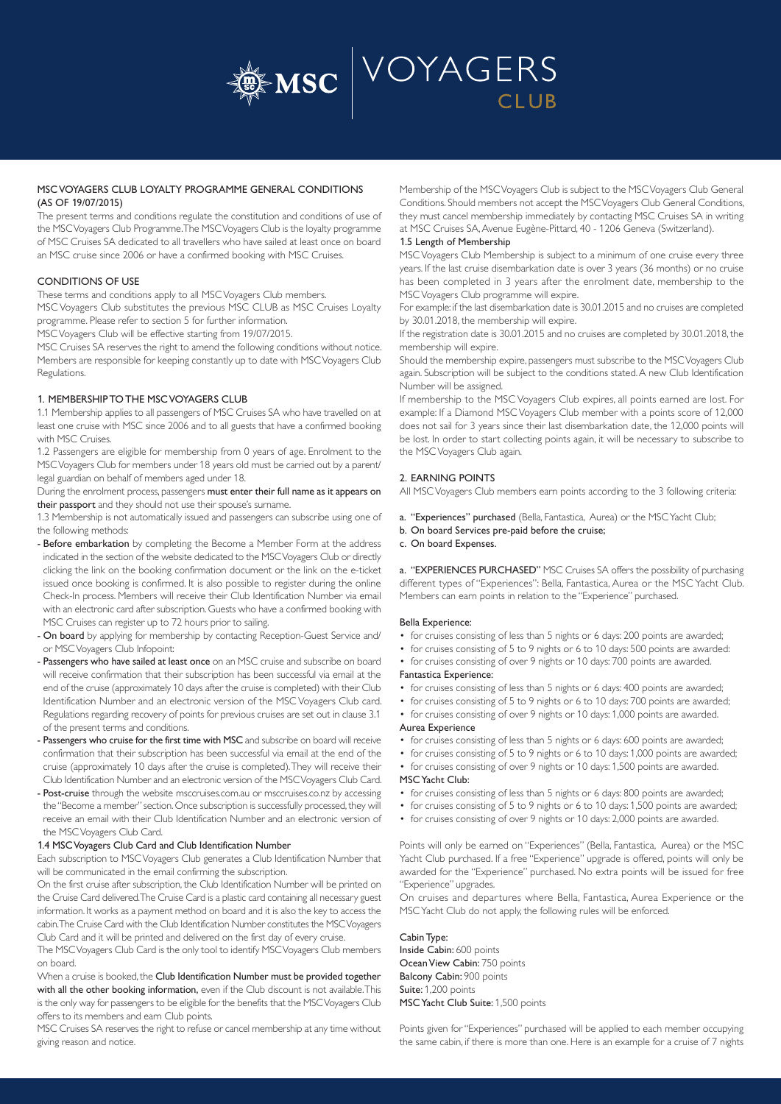

# MSC VOYAGERS CLUB LOYALTY PROGRAMME GENERAL CONDITIONS (AS OF 19/07/2015)

The present terms and conditions regulate the constitution and conditions of use of the MSC Voyagers Club Programme. The MSC Voyagers Club is the loyalty programme of MSC Cruises SA dedicated to all travellers who have sailed at least once on board an MSC cruise since 2006 or have a confirmed booking with MSC Cruises.

# CONDITIONS OF USE

These terms and conditions apply to all MSC Voyagers Club members.

MSC Voyagers Club substitutes the previous MSC CLUB as MSC Cruises Loyalty programme. Please refer to section 5 for further information.

MSC Voyagers Club will be effective starting from 19/07/2015.

MSC Cruises SA reserves the right to amend the following conditions without notice. Members are responsible for keeping constantly up to date with MSC Voyagers Club Regulations.

# 1. MEMBERSHIP TO THE MSC VOYAGERS CLUB

1.1 Membership applies to all passengers of MSC Cruises SA who have travelled on at least one cruise with MSC since 2006 and to all guests that have a confirmed booking with MSC Cruises.

1.2 Passengers are eligible for membership from 0 years of age. Enrolment to the MSC Voyagers Club for members under 18 years old must be carried out by a parent/ legal guardian on behalf of members aged under 18.

During the enrolment process, passengers must enter their full name as it appears on their passport and they should not use their spouse's surname.

1.3 Membership is not automatically issued and passengers can subscribe using one of the following methods:

- Before embarkation by completing the Become a Member Form at the address indicated in the section of the website dedicated to the MSC Voyagers Club or directly clicking the link on the booking confirmation document or the link on the e-ticket issued once booking is confirmed. It is also possible to register during the online Check-In process. Members will receive their Club Identification Number via email with an electronic card after subscription. Guests who have a confirmed booking with MSC Cruises can register up to 72 hours prior to sailing.
- On board by applying for membership by contacting Reception-Guest Service and/ or MSC Voyagers Club Infopoint:
- Passengers who have sailed at least once on an MSC cruise and subscribe on board will receive confirmation that their subscription has been successful via email at the end of the cruise (approximately 10 days after the cruise is completed) with their Club Identification Number and an electronic version of the MSC Voyagers Club card. Regulations regarding recovery of points for previous cruises are set out in clause 3.1 of the present terms and conditions.
- Passengers who cruise for the first time with MSC and subscribe on board will receive confirmation that their subscription has been successful via email at the end of the cruise (approximately 10 days after the cruise is completed). They will receive their Club Identification Number and an electronic version of the MSC Voyagers Club Card.
- Post-cruise through the website msccruises.com.au or msccruises.co.nz by accessing the "Become a member" section. Once subscription is successfully processed, they will receive an email with their Club Identification Number and an electronic version of the MSC Voyagers Club Card.

#### 1.4 MSC Voyagers Club Card and Club Identification Number

Each subscription to MSC Voyagers Club generates a Club Identification Number that will be communicated in the email confirming the subscription.

On the first cruise after subscription, the Club Identification Number will be printed on the Cruise Card delivered. The Cruise Card is a plastic card containing all necessary guest information. It works as a payment method on board and it is also the key to access the cabin. The Cruise Card with the Club Identification Number constitutes the MSC Voyagers Club Card and it will be printed and delivered on the first day of every cruise.

The MSC Voyagers Club Card is the only tool to identify MSC Voyagers Club members on board.

When a cruise is booked, the Club Identification Number must be provided together with all the other booking information, even if the Club discount is not available. This is the only way for passengers to be eligible for the benefits that the MSC Voyagers Club offers to its members and earn Club points.

MSC Cruises SA reserves the right to refuse or cancel membership at any time without giving reason and notice.

Membership of the MSC Voyagers Club is subject to the MSC Voyagers Club General Conditions. Should members not accept the MSC Voyagers Club General Conditions, they must cancel membership immediately by contacting MSC Cruises SA in writing at MSC Cruises SA, Avenue Eugène-Pittard, 40 - 1206 Geneva (Switzerland).

#### 1.5 Length of Membership

MSC Voyagers Club Membership is subject to a minimum of one cruise every three years. If the last cruise disembarkation date is over 3 years (36 months) or no cruise has been completed in 3 years after the enrolment date, membership to the MSC Voyagers Club programme will expire.

For example: if the last disembarkation date is 30.01.2015 and no cruises are completed by 30.01.2018, the membership will expire.

If the registration date is 30.01.2015 and no cruises are completed by 30.01.2018, the membership will expire.

Should the membership expire, passengers must subscribe to the MSC Voyagers Club again. Subscription will be subject to the conditions stated. A new Club Identification Number will be assigned.

If membership to the MSC Voyagers Club expires, all points earned are lost. For example: If a Diamond MSC Voyagers Club member with a points score of 12,000 does not sail for 3 years since their last disembarkation date, the 12,000 points will be lost. In order to start collecting points again, it will be necessary to subscribe to the MSC Voyagers Club again.

# 2. EARNING POINTS

All MSC Voyagers Club members earn points according to the 3 following criteria:

- a. "Experiences" purchased (Bella, Fantastica, Aurea) or the MSC Yacht Club;
- b. On board Services pre-paid before the cruise;

# c. On board Expenses.

a. "EXPERIENCES PURCHASED" MSC Cruises SA offers the possibility of purchasing different types of "Experiences": Bella, Fantastica, Aurea or the MSC Yacht Club. Members can earn points in relation to the "Experience" purchased.

## Bella Experience:

- for cruises consisting of less than 5 nights or 6 days: 200 points are awarded;
- for cruises consisting of 5 to 9 nights or 6 to 10 days: 500 points are awarded:
- for cruises consisting of over 9 nights or 10 days: 700 points are awarded.

## Fantastica Experience:

- for cruises consisting of less than 5 nights or 6 days: 400 points are awarded;
	- for cruises consisting of 5 to 9 nights or 6 to 10 days: 700 points are awarded;
	- for cruises consisting of over 9 nights or 10 days: 1,000 points are awarded. Aurea Experience
	- for cruises consisting of less than 5 nights or 6 days: 600 points are awarded;
	- for cruises consisting of 5 to 9 nights or 6 to 10 days: 1,000 points are awarded;
	- for cruises consisting of over 9 nights or 10 days: 1,500 points are awarded.

#### MSC Yacht Club:

- for cruises consisting of less than 5 nights or 6 days: 800 points are awarded;
- for cruises consisting of 5 to 9 nights or 6 to 10 days: 1,500 points are awarded;
- for cruises consisting of over 9 nights or 10 days: 2,000 points are awarded.

Points will only be earned on "Experiences" (Bella, Fantastica, Aurea) or the MSC Yacht Club purchased. If a free "Experience" upgrade is offered, points will only be awarded for the "Experience" purchased. No extra points will be issued for free "Experience" upgrades.

On cruises and departures where Bella, Fantastica, Aurea Experience or the MSC Yacht Club do not apply, the following rules will be enforced.

# Cabin Type: Inside Cabin: 600 points

Ocean View Cabin: 750 points Balcony Cabin: 900 points Suite: 1,200 points MSC Yacht Club Suite: 1,500 points

Points given for "Experiences" purchased will be applied to each member occupying the same cabin, if there is more than one. Here is an example for a cruise of 7 nights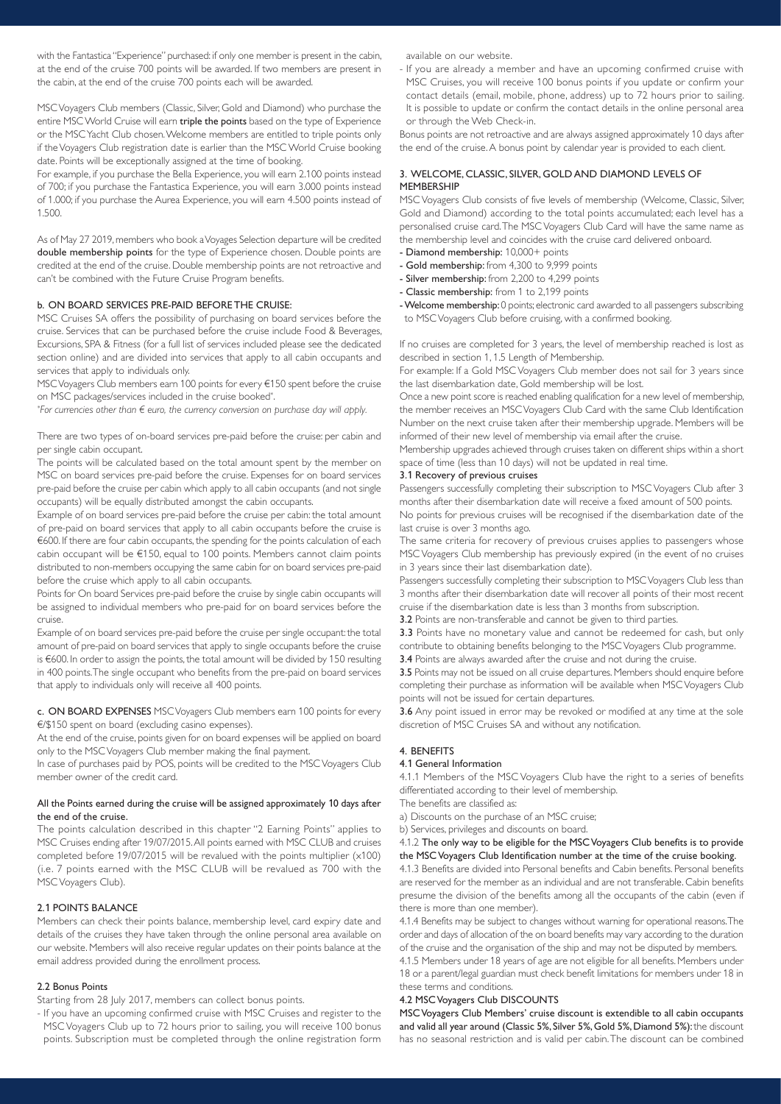with the Fantastica "Experience" purchased: if only one member is present in the cabin, at the end of the cruise 700 points will be awarded. If two members are present in the cabin, at the end of the cruise 700 points each will be awarded.

MSC Voyagers Club members (Classic, Silver, Gold and Diamond) who purchase the entire MSC World Cruise will earn triple the points based on the type of Experience or the MSC Yacht Club chosen. Welcome members are entitled to triple points only if the Voyagers Club registration date is earlier than the MSC World Cruise booking date. Points will be exceptionally assigned at the time of booking.

For example, if you purchase the Bella Experience, you will earn 2.100 points instead of 700; if you purchase the Fantastica Experience, you will earn 3.000 points instead of 1.000; if you purchase the Aurea Experience, you will earn 4.500 points instead of 1.500.

As of May 27 2019, members who book a Voyages Selection departure will be credited double membership points for the type of Experience chosen. Double points are credited at the end of the cruise. Double membership points are not retroactive and can't be combined with the Future Cruise Program benefits.

#### b. ON BOARD SERVICES PRE-PAID BEFORE THE CRUISE:

MSC Cruises SA offers the possibility of purchasing on board services before the cruise. Services that can be purchased before the cruise include Food & Beverages, Excursions, SPA & Fitness (for a full list of services included please see the dedicated section online) and are divided into services that apply to all cabin occupants and services that apply to individuals only.

MSC Voyagers Club members earn 100 points for every €150 spent before the cruise on MSC packages/services included in the cruise booked\* .

*\* For currencies other than € euro, the currency conversion on purchase day will apply.*

There are two types of on-board services pre-paid before the cruise: per cabin and per single cabin occupant.

The points will be calculated based on the total amount spent by the member on MSC on board services pre-paid before the cruise. Expenses for on board services pre-paid before the cruise per cabin which apply to all cabin occupants (and not single occupants) will be equally distributed amongst the cabin occupants.

Example of on board services pre-paid before the cruise per cabin: the total amount of pre-paid on board services that apply to all cabin occupants before the cruise is €600. If there are four cabin occupants, the spending for the points calculation of each cabin occupant will be €150, equal to 100 points. Members cannot claim points distributed to non-members occupying the same cabin for on board services pre-paid before the cruise which apply to all cabin occupants.

Points for On board Services pre-paid before the cruise by single cabin occupants will be assigned to individual members who pre-paid for on board services before the cruise.

Example of on board services pre-paid before the cruise per single occupant: the total amount of pre-paid on board services that apply to single occupants before the cruise is €600. In order to assign the points, the total amount will be divided by 150 resulting in 400 points. The single occupant who benefits from the pre-paid on board services that apply to individuals only will receive all 400 points.

c. ON BOARD EXPENSES MSC Voyagers Club members earn 100 points for every €/\$150 spent on board (excluding casino expenses).

At the end of the cruise, points given for on board expenses will be applied on board only to the MSC Voyagers Club member making the final payment.

In case of purchases paid by POS, points will be credited to the MSC Voyagers Club member owner of the credit card.

### All the Points earned during the cruise will be assigned approximately 10 days after the end of the cruise.

The points calculation described in this chapter "2 Earning Points" applies to MSC Cruises ending after 19/07/2015. All points earned with MSC CLUB and cruises completed before 19/07/2015 will be revalued with the points multiplier (x100) (i.e. 7 points earned with the MSC CLUB will be revalued as 700 with the MSC Voyagers Club).

## 2.1 POINTS BALANCE

Members can check their points balance, membership level, card expiry date and details of the cruises they have taken through the online personal area available on our website. Members will also receive regular updates on their points balance at the email address provided during the enrollment process.

# 2.2 Bonus Points

Starting from 28 July 2017, members can collect bonus points.

- If you have an upcoming confirmed cruise with MSC Cruises and register to the MSC Voyagers Club up to 72 hours prior to sailing, you will receive 100 bonus points. Subscription must be completed through the online registration form available on our website.

- If you are already a member and have an upcoming confirmed cruise with MSC Cruises, you will receive 100 bonus points if you update or confirm your contact details (email, mobile, phone, address) up to 72 hours prior to sailing. It is possible to update or confirm the contact details in the online personal area or through the Web Check-in.

Bonus points are not retroactive and are always assigned approximately 10 days after the end of the cruise. A bonus point by calendar year is provided to each client.

# 3. WELCOME, CLASSIC, SILVER, GOLD AND DIAMOND LEVELS OF MEMBERSHIP

MSC Voyagers Club consists of five levels of membership (Welcome, Classic, Silver, Gold and Diamond) according to the total points accumulated; each level has a personalised cruise card. The MSC Voyagers Club Card will have the same name as the membership level and coincides with the cruise card delivered onboard.

- Diamond membership: 10,000+ points
- Gold membership: from 4,300 to 9,999 points
- Silver membership: from 2,200 to 4,299 points
- Classic membership: from 1 to 2,199 points
- Welcome membership: 0 points; electronic card awarded to all passengers subscribing to MSC Voyagers Club before cruising, with a confirmed booking.

If no cruises are completed for 3 years, the level of membership reached is lost as described in section 1, 1.5 Length of Membership.

For example: If a Gold MSC Voyagers Club member does not sail for 3 years since the last disembarkation date, Gold membership will be lost.

Once a new point score is reached enabling qualification for a new level of membership, the member receives an MSC Voyagers Club Card with the same Club Identification Number on the next cruise taken after their membership upgrade. Members will be informed of their new level of membership via email after the cruise.

Membership upgrades achieved through cruises taken on different ships within a short space of time (less than 10 days) will not be updated in real time.

# 3.1 Recovery of previous cruises

Passengers successfully completing their subscription to MSC Voyagers Club after 3 months after their disembarkation date will receive a fixed amount of 500 points.

No points for previous cruises will be recognised if the disembarkation date of the last cruise is over 3 months ago.

The same criteria for recovery of previous cruises applies to passengers whose MSC Voyagers Club membership has previously expired (in the event of no cruises in 3 years since their last disembarkation date).

Passengers successfully completing their subscription to MSC Voyagers Club less than 3 months after their disembarkation date will recover all points of their most recent cruise if the disembarkation date is less than 3 months from subscription.

3.2 Points are non-transferable and cannot be given to third parties.

3.3 Points have no monetary value and cannot be redeemed for cash, but only contribute to obtaining benefits belonging to the MSC Voyagers Club programme. 3.4 Points are always awarded after the cruise and not during the cruise.

3.5 Points may not be issued on all cruise departures. Members should enquire before completing their purchase as information will be available when MSC Voyagers Club points will not be issued for certain departures.

3.6 Any point issued in error may be revoked or modified at any time at the sole discretion of MSC Cruises SA and without any notification.

### 4. BENEFITS

# 4.1 General Information

4.1.1 Members of the MSC Voyagers Club have the right to a series of benefits differentiated according to their level of membership.

The benefits are classified as:

a) Discounts on the purchase of an MSC cruise;

b) Services, privileges and discounts on board.

4.1.2 The only way to be eligible for the MSC Voyagers Club benefits is to provide the MSC Voyagers Club Identification number at the time of the cruise booking.

4.1.3 Benefits are divided into Personal benefits and Cabin benefits. Personal benefits are reserved for the member as an individual and are not transferable. Cabin benefits presume the division of the benefits among all the occupants of the cabin (even if there is more than one member).

4.1.4 Benefits may be subject to changes without warning for operational reasons. The order and days of allocation of the on board benefits may vary according to the duration of the cruise and the organisation of the ship and may not be disputed by members.

4.1.5 Members under 18 years of age are not eligible for all benefits. Members under 18 or a parent/legal guardian must check benefit limitations for members under 18 in these terms and conditions.

#### 4.2 MSC Voyagers Club DISCOUNTS

MSC Voyagers Club Members' cruise discount is extendible to all cabin occupants and valid all year around (Classic 5%, Silver 5%, Gold 5%, Diamond 5%): the discount has no seasonal restriction and is valid per cabin. The discount can be combined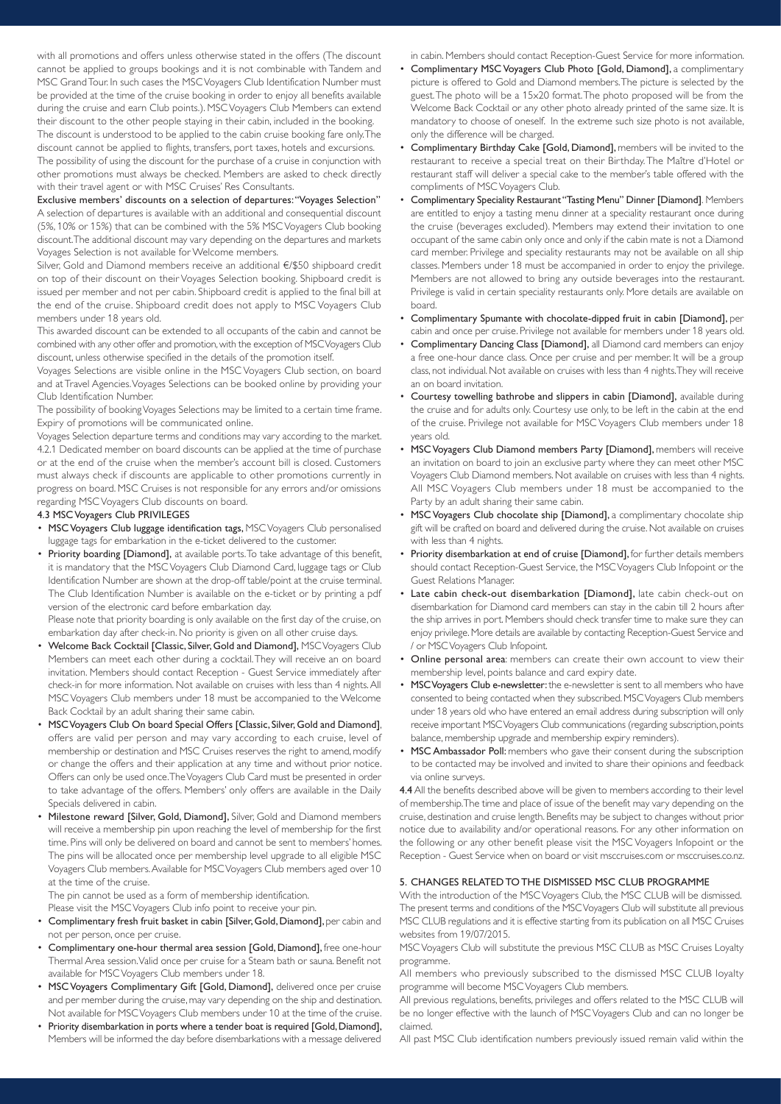with all promotions and offers unless otherwise stated in the offers (The discount cannot be applied to groups bookings and it is not combinable with Tandem and MSC Grand Tour. In such cases the MSC Voyagers Club Identification Number must be provided at the time of the cruise booking in order to enjoy all benefits available during the cruise and earn Club points.). MSC Voyagers Club Members can extend their discount to the other people staying in their cabin, included in the booking. The discount is understood to be applied to the cabin cruise booking fare only. The

discount cannot be applied to flights, transfers, port taxes, hotels and excursions. The possibility of using the discount for the purchase of a cruise in conjunction with other promotions must always be checked. Members are asked to check directly with their travel agent or with MSC Cruises' Res Consultants.

#### Exclusive members' discounts on a selection of departures: "Voyages Selection"

A selection of departures is available with an additional and consequential discount (5%, 10% or 15%) that can be combined with the 5% MSC Voyagers Club booking discount. The additional discount may vary depending on the departures and markets Voyages Selection is not available for Welcome members.

Silver, Gold and Diamond members receive an additional €/\$50 shipboard credit on top of their discount on their Voyages Selection booking. Shipboard credit is issued per member and not per cabin. Shipboard credit is applied to the final bill at the end of the cruise. Shipboard credit does not apply to MSC Voyagers Club members under 18 years old.

This awarded discount can be extended to all occupants of the cabin and cannot be combined with any other offer and promotion, with the exception of MSC Voyagers Club discount, unless otherwise specified in the details of the promotion itself.

Voyages Selections are visible online in the MSC Voyagers Club section, on board and at Travel Agencies. Voyages Selections can be booked online by providing your Club Identification Number.

The possibility of booking Voyages Selections may be limited to a certain time frame. Expiry of promotions will be communicated online.

Voyages Selection departure terms and conditions may vary according to the market. 4.2.1 Dedicated member on board discounts can be applied at the time of purchase or at the end of the cruise when the member's account bill is closed. Customers must always check if discounts are applicable to other promotions currently in progress on board. MSC Cruises is not responsible for any errors and/or omissions regarding MSC Voyagers Club discounts on board.

## 4.3 MSC Voyagers Club PRIVILEGES

- MSC Voyagers Club luggage identification tags, MSC Voyagers Club personalised luggage tags for embarkation in the e-ticket delivered to the customer.
- Priority boarding [Diamond], at available ports. To take advantage of this benefit, it is mandatory that the MSC Voyagers Club Diamond Card, luggage tags or Club Identification Number are shown at the drop-off table/point at the cruise terminal. The Club Identification Number is available on the e-ticket or by printing a pdf version of the electronic card before embarkation day.

Please note that priority boarding is only available on the first day of the cruise, on embarkation day after check-in. No priority is given on all other cruise days.

- Welcome Back Cocktail [Classic, Silver, Gold and Diamond], MSC Voyagers Club Members can meet each other during a cocktail. They will receive an on board invitation. Members should contact Reception - Guest Service immediately after check-in for more information. Not available on cruises with less than 4 nights. All MSC Voyagers Club members under 18 must be accompanied to the Welcome Back Cocktail by an adult sharing their same cabin.
- MSC Voyagers Club On board Special Offers [Classic, Silver, Gold and Diamond], offers are valid per person and may vary according to each cruise, level of membership or destination and MSC Cruises reserves the right to amend, modify or change the offers and their application at any time and without prior notice. Offers can only be used once. The Voyagers Club Card must be presented in order to take advantage of the offers. Members' only offers are available in the Daily Specials delivered in cabin.
- Milestone reward [Silver, Gold, Diamond], Silver, Gold and Diamond members will receive a membership pin upon reaching the level of membership for the first time. Pins will only be delivered on board and cannot be sent to members' homes. The pins will be allocated once per membership level upgrade to all eligible MSC Voyagers Club members. Available for MSC Voyagers Club members aged over 10 at the time of the cruise.

The pin cannot be used as a form of membership identification.

Please visit the MSC Voyagers Club info point to receive your pin.

- Complimentary fresh fruit basket in cabin [Silver, Gold, Diamond], per cabin and not per person, once per cruise.
- Complimentary one-hour thermal area session [Gold, Diamond], free one-hour Thermal Area session. Valid once per cruise for a Steam bath or sauna. Benefit not available for MSC Voyagers Club members under 18.
- MSC Voyagers Complimentary Gift [Gold, Diamond], delivered once per cruise and per member during the cruise, may vary depending on the ship and destination. Not available for MSC Voyagers Club members under 10 at the time of the cruise.
- Priority disembarkation in ports where a tender boat is required [Gold, Diamond], Members will be informed the day before disembarkations with a message delivered

in cabin. Members should contact Reception-Guest Service for more information.

- Complimentary MSC Voyagers Club Photo [Gold, Diamond], a complimentary picture is offered to Gold and Diamond members. The picture is selected by the guest. The photo will be a 15x20 format. The photo proposed will be from the Welcome Back Cocktail or any other photo already printed of the same size. It is mandatory to choose of oneself. In the extreme such size photo is not available, only the difference will be charged.
- Complimentary Birthday Cake [Gold, Diamond], members will be invited to the restaurant to receive a special treat on their Birthday. The Maître d'Hotel or restaurant staff will deliver a special cake to the member's table offered with the compliments of MSC Voyagers Club.
- Complimentary Speciality Restaurant "Tasting Menu" Dinner [Diamond]. Members are entitled to enjoy a tasting menu dinner at a speciality restaurant once during the cruise (beverages excluded). Members may extend their invitation to one occupant of the same cabin only once and only if the cabin mate is not a Diamond card member. Privilege and speciality restaurants may not be available on all ship classes. Members under 18 must be accompanied in order to enjoy the privilege. Members are not allowed to bring any outside beverages into the restaurant. Privilege is valid in certain speciality restaurants only. More details are available on board.
- Complimentary Spumante with chocolate-dipped fruit in cabin [Diamond], per cabin and once per cruise. Privilege not available for members under 18 years old.
- Complimentary Dancing Class [Diamond], all Diamond card members can enjoy a free one-hour dance class. Once per cruise and per member. It will be a group class, not individual. Not available on cruises with less than 4 nights. They will receive an on board invitation.
- Courtesy towelling bathrobe and slippers in cabin [Diamond], available during the cruise and for adults only. Courtesy use only, to be left in the cabin at the end of the cruise. Privilege not available for MSC Voyagers Club members under 18 years old.
- MSC Voyagers Club Diamond members Party [Diamond], members will receive an invitation on board to join an exclusive party where they can meet other MSC Voyagers Club Diamond members. Not available on cruises with less than 4 nights. All MSC Voyagers Club members under 18 must be accompanied to the Party by an adult sharing their same cabin.
- MSC Voyagers Club chocolate ship [Diamond], a complimentary chocolate ship gift will be crafted on board and delivered during the cruise. Not available on cruises with less than 4 nights.
- Priority disembarkation at end of cruise [Diamond], for further details members should contact Reception-Guest Service, the MSC Voyagers Club Infopoint or the Guest Relations Manager.
- Late cabin check-out disembarkation [Diamond], late cabin check-out on disembarkation for Diamond card members can stay in the cabin till 2 hours after the ship arrives in port. Members should check transfer time to make sure they can enjoy privilege. More details are available by contacting Reception-Guest Service and / or MSC Voyagers Club Infopoint.
- Online personal area: members can create their own account to view their membership level, points balance and card expiry date.
- MSC Voyagers Club e-newsletter: the e-newsletter is sent to all members who have consented to being contacted when they subscribed. MSC Voyagers Club members under 18 years old who have entered an email address during subscription will only receive important MSC Voyagers Club communications (regarding subscription, points balance, membership upgrade and membership expiry reminders).
- MSC Ambassador Poll: members who gave their consent during the subscription to be contacted may be involved and invited to share their opinions and feedback via online surveys.

4.4 All the benefits described above will be given to members according to their level of membership. The time and place of issue of the benefit may vary depending on the cruise, destination and cruise length. Benefits may be subject to changes without prior notice due to availability and/or operational reasons. For any other information on the following or any other benefit please visit the MSC Voyagers Infopoint or the Reception - Guest Service when on board or visit msccruises.com or msccruises.co.nz.

## 5. CHANGES RELATED TO THE DISMISSED MSC CLUB PROGRAMME

With the introduction of the MSC Voyagers Club, the MSC CLUB will be dismissed. The present terms and conditions of the MSC Voyagers Club will substitute all previous MSC CLUB regulations and it is effective starting from its publication on all MSC Cruises websites from 19/07/2015.

MSC Voyagers Club will substitute the previous MSC CLUB as MSC Cruises Loyalty programme.

All members who previously subscribed to the dismissed MSC CLUB loyalty programme will become MSC Voyagers Club members.

All previous regulations, benefits, privileges and offers related to the MSC CLUB will be no longer effective with the launch of MSC Voyagers Club and can no longer be claimed.

All past MSC Club identification numbers previously issued remain valid within the